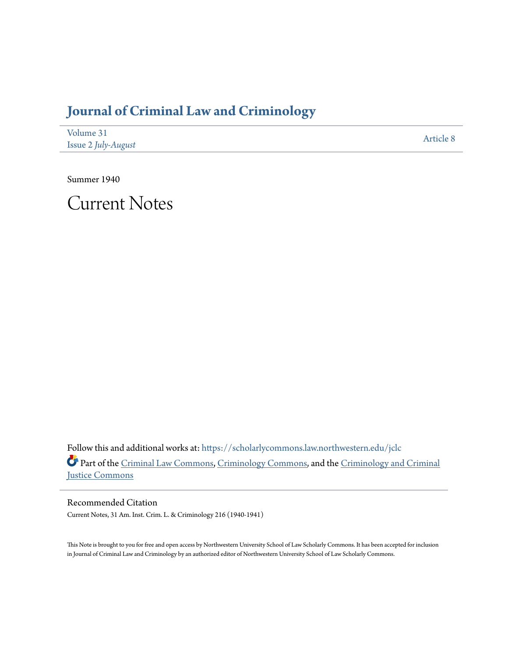## **[Journal of Criminal Law and Criminology](https://scholarlycommons.law.northwestern.edu/jclc?utm_source=scholarlycommons.law.northwestern.edu%2Fjclc%2Fvol31%2Fiss2%2F8&utm_medium=PDF&utm_campaign=PDFCoverPages)**

| Volume 31           | Article 8 |
|---------------------|-----------|
| Issue 2 July-August |           |

Summer 1940

Current Notes

Follow this and additional works at: [https://scholarlycommons.law.northwestern.edu/jclc](https://scholarlycommons.law.northwestern.edu/jclc?utm_source=scholarlycommons.law.northwestern.edu%2Fjclc%2Fvol31%2Fiss2%2F8&utm_medium=PDF&utm_campaign=PDFCoverPages) Part of the [Criminal Law Commons](http://network.bepress.com/hgg/discipline/912?utm_source=scholarlycommons.law.northwestern.edu%2Fjclc%2Fvol31%2Fiss2%2F8&utm_medium=PDF&utm_campaign=PDFCoverPages), [Criminology Commons](http://network.bepress.com/hgg/discipline/417?utm_source=scholarlycommons.law.northwestern.edu%2Fjclc%2Fvol31%2Fiss2%2F8&utm_medium=PDF&utm_campaign=PDFCoverPages), and the [Criminology and Criminal](http://network.bepress.com/hgg/discipline/367?utm_source=scholarlycommons.law.northwestern.edu%2Fjclc%2Fvol31%2Fiss2%2F8&utm_medium=PDF&utm_campaign=PDFCoverPages) [Justice Commons](http://network.bepress.com/hgg/discipline/367?utm_source=scholarlycommons.law.northwestern.edu%2Fjclc%2Fvol31%2Fiss2%2F8&utm_medium=PDF&utm_campaign=PDFCoverPages)

Recommended Citation Current Notes, 31 Am. Inst. Crim. L. & Criminology 216 (1940-1941)

This Note is brought to you for free and open access by Northwestern University School of Law Scholarly Commons. It has been accepted for inclusion in Journal of Criminal Law and Criminology by an authorized editor of Northwestern University School of Law Scholarly Commons.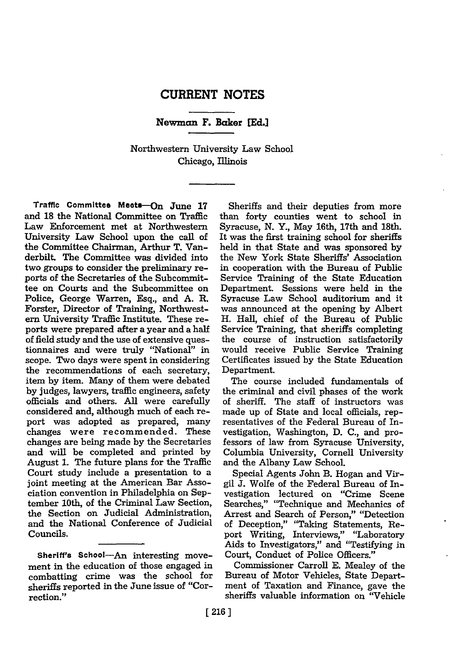## **CURRENT NOTES**

Newman F. Baker **[Ed.]**

Northwestern University Law School Chicago, Illinois

Traffic Committee **Meets-On** June **17** and **18** the National Committee on Traffic Law Enforcement met at Northwestern University Law School upon the call of the Committee Chairman, Arthur T. Vanderbilt. The Committee was divided into two groups to consider the preliminary reports of the Secretaries of the Subcommittee on Courts and the Subcommittee on Police, George Warren, Esq., and **A. R.** Forster, Director of Training, Northwestern University Traffic Institute. These reports were prepared after a year and a half of field study and the use of extensive questionnaires and were truly "National" in scope. Two days were spent in considering the recommendations of each secretary, item **by** item. Many of them were debated **by** judges, lawyers, traffic engineers, safety officials and others. **All** were carefully considered and, although much of each report was adopted as prepared, many changes were recommended. These changes are being made **by** the Secretaries and will be completed and printed **by** August **1.** The future plans for the Traffic Court study include a presentation to a joint meeting at the American Bar Association convention in Philadelphia on September 10th, of the Criminal Law Section, the Section on Judicial Administration, and the National Conference of Judicial Councils.

Sheriff's School-An interesting movement in the education of those engaged in combatting crime was the school for sheriffs reported in the June issue of "Correction."

Sheriffs and their deputies from more than forty counties went to school in Syracuse, **N.** Y., May 16th, 17th and 18th. It was the first training school for sheriffs held in that State and was sponsored **by** the New York State Sheriffs' Association in cooperation with the Bureau of Public Service Training of the State Education Department. Sessions were held in the Syracuse Law School auditorium and it was announced at the opening **by** Albert H. Hall, chief of the Bureau of Public Service Training, that sheriffs completing the course of instruction satisfactorily would receive Public Service Training Certificates issued **by** the State Education Department.

The course included fundamentals of the criminal and civil phases of the work of sheriff. The staff of instructors was made up of State and local officials, representatives of the Federal Bureau of Investigation, Washington, **D. C.,** and professors of law from Syracuse University, Columbia University, Cornell University and the Albany Law School.

Special Agents John B. Hogan and Virgil **J.** Wolfe of the Federal Bureau of Investigation lectured on "Crime Scene Searches," "Technique and Mechanics of Arrest and Search of Person," "Detection of Deception," "Taking Statements, Report Writing, Interviews," "Laboratory Aids to Investigators," and "Testifying in Court, Conduct of Police Officers."

Commissioner Carroll **E.** Mealey of the Bureau of Motor Vehicles, State Department of Taxation and Finance, gave the sheriffs valuable information on "Vehicle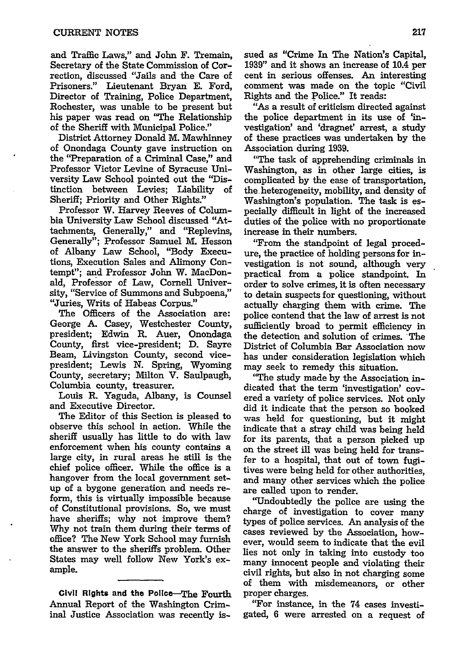and Traffic Laws," and John F. Tremain, Secretary of the State Commission of Correction, discussed "Jails and the Care of Prisoners." Lieutenant Bryan **E.** Ford, Director of Training, Police Department, Rochester, was unable to be present but his paper was read on "The Relationship of the Sheriff with Municipal Police."

District Attorney Donald M. Mawhinney of Onondaga County gave instruction on the "Preparation of a Criminal Case," and Professor Victor Levine of Syracuse University Law School pointed out the 'Distinction between Levies; Liability of Sheriff; Priority and Other Rights."

Professor W. Harvey Reeves of Columbia University Law School discussed "Attachments, Generally," and "Replevins, Generally"; Professor Samuel M. Hesson of Albany Law School, "Body Executions, Execution Sales and Alimony Contempt"; and Professor John W. MacDonald, Professor of Law, Cornell University, "Service of Summons and Subpoena," "Juries, Writs of Habeas Corpus."

The Officers of the Association are: George **A.** Casey, Westchester County, president; Edwin R. Auer, Onondaga County, first vice-president; **D.** Sayre Beam, Livingston County, second vicepresident; Lewis **N.** Spring, Wyoming County, secretary; Milton V. Saulpaugh, Columbia county, treasurer.

Louis R. Yaguda, Albany, is Counsel and Executive Director.

The Editor of this Section is pleased to observe this school in action. While the sheriff usually has little to do with law enforcement when his county contains a large city, in rural areas he still is the chief police officer. While the office is a hangover from the local government setup of a bygone generation and needs reform, this is virtually impossible because of Constitutional provisions. So, we must have sheriffs; why not improve them? Why not train them during their terms of office? The New York School may furnish the answer to the sheriffs problem. Other States may well follow New York's example.

Civil Rights and the Police--The Fourth Annual Report of the Washington Criminal Justice Association was recently issued as "Crime In The Nation's Capital, **1939"** and it shows an increase of **10.4** per cent in serious offenses. An interesting comment was made on the topic "Civil Rights and the Police." It reads:

"As a result of criticism directed against the police department in its use of 'investigation' and 'dragnet' arrest, a study of these practices was undertaken **by** the Association during **1939.**

"The task of apprehending criminals in Washington, as in other large cities, is complicated **by** the ease of transportation, the.heterogeneity, mobility, and density of Washington's population. The task is especially difficult in light of the increased duties of the police with no proportionate increase in their numbers.

"From the standpoint of legal procedure, the practice of holding persons for investigation is not sound, although very practical from a police standpoint. In order to solve crimes, it is often necessary to detain suspects for questioning, without actually charging them with crime. The police contend that the law of arrest is not sufficiently broad to permit efficiency in the detection and solution of crimes. The District of Columbia Bar Association now has under consideration legislation which may seek to remedy this situation.

"The study made **by** the Association indicated that the term 'investigation' covered a variety of police services. Not only did it indicate that the person so booked was held for questioning, but it might indicate that a stray child was being held for its parents, that a person picked up on the street ill was being held for transfer to a hospital, that out of town fugitives were being held for other authorities, and many other services which the police are called upon to render.

"Undoubtedly the police are using the charge of investigation to cover many types of police services. An analysis of the cases reviewed **by** the Association, however, would seem to indicate that the evil lies not only in taking into custody too many innocent people and violating their civil rights, but also in not charging some of them with misdemeanors, or other proper charges.

"For instance, in the 74 cases investigated, **6** were arrested on a request of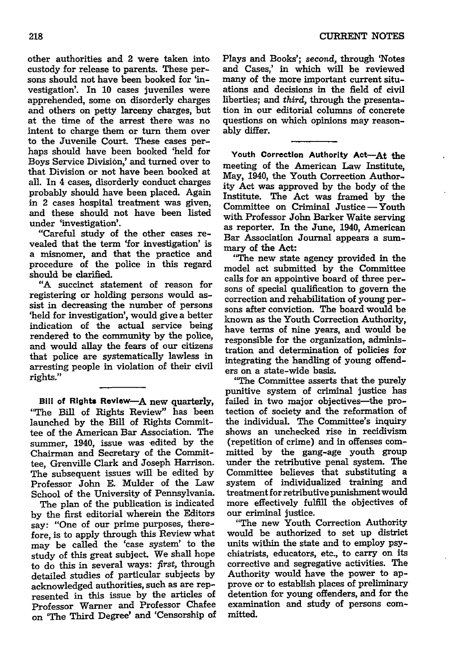other authorities and 2 were taken into custody for release to parents. These persons should not have been booked for 'investigation'. In **10** cases juveniles were apprehended, some on disorderly charges and others on petty larceny charges, but at the time of the arrest there was no intent to charge them or turn them over to the Juvenile Court. These cases perhaps should have been booked 'held for Boys Service Division,' and turned over to that Division or not have been booked at all. In 4 cases, disorderly conduct charges probably should have been placed. Again in 2 cases hospital treatment was given, and these should not have been listed under 'investigation'.

"Careful study of the other cases revealed that the term 'for investigation' is a misnomer, and that the practice and procedure of the police in this regard should be clarified.

**"A** succinct statement of reason for registering or holding persons would assist in decreasing the number of persons 'held for investigation', would give a better indication of the actual service being rendered to the community **by** the police, and would allay the fears of our citizens that police are systematically lawless in arresting people in violation of their civil rights."

Bill of Rights Review-A new quarterly, "The Bill of Rights Review" has been launched **by** the Bill of Rights Committee of the American Bar Association. The summer, 1940, issue was edited by the Chairman and Secretary of the Committee, Grenville Clark and Joseph Harrison. The subsequent issues will be edited by Professor John **E.** Mulder of the Law School of the University of Pennsylvania.

The plan of the publication is indicated by the first editorial wherein the Editors say: "One of our prime purposes, therefore, is to apply through this Review what may be called the 'case system' to the study of this great subject. We shall hope to do this in several ways: first, through detailed studies of particular subjects by acknowledged authorities, such as are represented in this issue by the articles of Professor Warner and Professor Chafee on 'The Third Degree' and 'Censorship of

Plays and Books'; *second,* through 'Notes and Cases,' in which will be reviewed many of the more important current situations and decisions in the field of civil liberties; and *third,* through the presentation in our editorial columns of concrete questions on which opinions may reasonably differ.

Youth Correction Authority Act-At the meeting of the American Law Institute, May, 1940, the Youth Correction Authority Act was approved **by** the body of the Institute. The Act was framed by the Committee on Criminal Justice-Youth with Professor John Barker Waite serving as reporter. In the June, 1940, American Bar Association Journal appears a summary of the Act:

"The new state agency provided in the model act submitted by the Committee calls for an appointive board of three persons of special qualification to govern the correction and rehabilitation of young persons after conviction. The board would be known as the Youth Correction Authority, have terms of nine years, and would be responsible for the organization, administration and determination of policies for integrating the handling of young offenders on a state-wide basis.

"The Committee asserts that the purely punitive system of criminal justice has failed in two major objectives-the protection of society and the reformation of the individual. The Committee's inquiry shows an unchecked rise in recidivism (repetition of crime) and in offenses committed **by** the gang-age youth group under the retributive penal system. The Committee believes that substituting a system of individualized training and treatment for retributive punishment would more effectively fulfill the objectives of our criminal justice.

"The new Youth Correction Authority would be authorized to set up district units within the state and to employ psychiatrists, educators, etc., to carry on its corrective and segregative activities. The Authority would have the power to approve or to establish places of preliminary detention for young offenders, and for the examination and study of persons committed.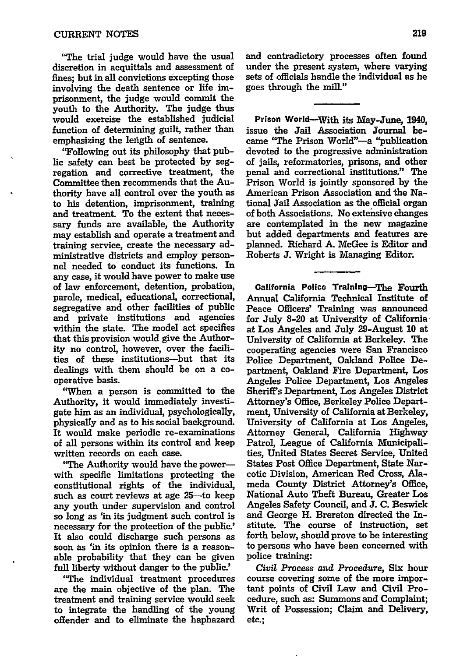"The trial judge would have the usual discretion in acquittals and assessment of fines; but in all convictions excepting those involving the death sentence or life **im**prisonment, the judge would commit the youth to the Authority. The judge thus would exercise the established judicial function of determining guilt, rather than emphasizing the leigth of sentence.

"Following out its philosophy that pub**lic** safety can best be protected **by** segregation and corrective treatment, the Committee then recommends that the Authority have all control over the youth as to his detention, imprisonment, training and treatment. To the extent that necessary funds are available, the Authority may establish and operate a treatment and training service, create the necessary administrative districts and employ personnel needed to conduct its functions. In any case, it would have power to make use of law enforcement, detention, probation, parole, medical, educational, correctional, segregative and other facilities of public and private institutions and agencies within the state. The model act specifies that this provision would give the Authority no control, however, over the facilities of these institutions-but that its dealings with them should be on a cooperative basis.

"When a person is committed to the Authority, it would immediately investigate him as an individual, psychologically, physically and as to his social background. It would make periodic re-examinations of all persons within its control and keep written records on each case.

"The Authority would have the powerwith specific limitations protecting the constitutional rights of the individual, such as court reviews at age 25-to keep any youth under supervision and control so long as 'in its judgment such control is necessary for the protection of the public.' It also could discharge such persons as soon as 'in its opinion there is a reasonable probability that they can be given full liberty without danger to the public.'

"The individual treatment procedures are the main objective of the plan. The treatment and training service would seek to integrate the handling of the young offender and to eliminate the haphazard and contradictory processes often found under the present system, where varying sets of officials handle the individual as he goes through the mill."

Prison World-With its May-June, 1940, issue the Jail Association Journal became '"he Prison World"-a "publication devoted to the progressive administration of jails, reformatories, prisons, and other penal and correctional institutions." The Prison World is jointly sponsored **by** the American Prison Association and the National Jail Association as the official organ of both Associations. No extensive changes are contemplated in the new magazine but added departments and features are planned. Richard **A.** McGee is Editor and Roberts **J.** Wright is Managing Editor.

California Police Training-The Fourth Annual California Technical Institute of Peace Officers' Training was announced for July **8-20** at University of California, at Los Angeles and July 29-August **10** at University of California at Berkeley. The cooperating agencies were San Francisco Police Department, Oakland Police Department, Oakland Fire Department, Los Angeles Police Department, Los Angeles Sheriff's Department, Los Angeles District Attorney's Office, Berkeley Police Department, University of California at Berkeley, University of California at Los Angeles, Attorney General, California Highway Patrol, League of California Municipalities, United States Secret Service, United States Post Office Department, State Narcotic Division, American Red Cross, Alameda County District Attorney's Office, National Auto Theft Bureau, Greater Los Angeles Safety Council, and **J. C.** Beswick and George H. Brereton directed the Institute. The course of instruction, set forth below, should prove to be interesting to persons who have been concerned with police training:

*Civil Process* and *Procedure,* Six hour course covering some of the more important points of Civil Law and Civil Procedure, such as: Summons and Complaint; Writ of Possession; Claim and Delivery, etc.;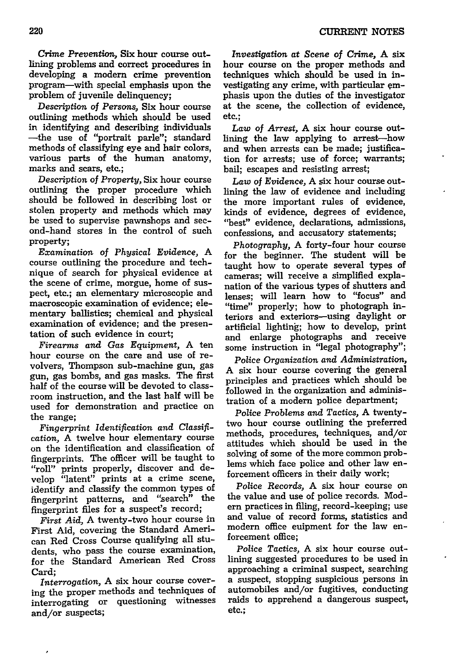*Crime Prevention,* Six hour course outlining problems and correct procedures in developing a modern crime prevention program-with special emphasis upon the problem of juvenile delinquency;

*Description* of Persons, Six hour course outlining methods which should be used in identifying and describing individuals -the use of "portrait parle"; standard methods of classifying eye and hair colors, various parts of the human anatomy, marks and scars, etc.;

*Description of* Property, Six hour course outlining the proper procedure which should be followed in describing lost or stolen property and methods which may be used to supervise pawnshops and second-hand stores in the control of such property;

*Examination of Physical Evidence,* **A** course outlining the procedure and technique of search for physical evidence at the scene of crime, morgue, home of suspect, etc.; an elementary microscopic and macroscopic examination of evidence; elementary ballistics; chemical and physical examination of evidence; and the presentation of such evidence in court;

*Firearms and* Gas *Equipment,* A ten hour course on the care and use of revolvers, Thompson sub-machine gun, gas gun, gas bombs, and gas masks. The first half of the course will be devoted to classroom instruction, and the last half will be used for demonstration and practice on the range;

*Fingerprint Identification and Classification,* A twelve hour elementary course on the identification and classification of fingerprints. The officer will be taught to "roll" prints properly, discover and develop "latent" prints at a crime scene, identify and classify the common types of fingerprint patterns, and "search" the fingerprint files for a suspect's record;

*First Aid,* A twenty-two hour course in First Aid, covering the Standard American Red Cross Course qualifying all students, who pass the course examination, for the Standard American Red Cross Card;

*Interrogation,* A six hour course covering the proper methods and techniques of interrogating or questioning witnesses and/or suspects;

*Investigation at Scene* of *Crime,* A six hour course on the proper methods and techniques which should be used in investigating any crime, with particular  $em$ phasis upon the duties of the investigator at the scene, the collection of evidence, etc.;

*Law* of *Arrest,* A six hour course outlining the law applying to arrest-how and when arrests can be made; justification for arrests; use of force; warrants; bail; escapes and resisting arrest;

*Law* of *Evidence,* A six hour course outlining the law of evidence and including the more important rules of evidence, kinds of evidence, degrees of evidence, "best" evidence, declarations, admissions, confessions, and accusatory statements;

*Photography,* A forty-four hour course for the beginner. The student will be taught how to operate several types of cameras; will receive a simplified explanation of the various types of shutters and lenses; will learn how to "focus" and "time" properly; how to photograph interiors and exteriors-using daylight or artificial lighting; how to develop, print and enlarge photographs and receive some instruction in "legal photography";

*Police Organization and Administration,* A six hour course covering the general principles and practices which should be followed in the organization and administration of a modern police department;

*Police Problems and Tactics,* A twentytwo hour course outlining the preferred methods, procedures, techniques, and/or attitudes which should be used in the solving of some of the more common problems which face police and other law enforcement officers in their daily work;

*Police Records,* A six hour course on the value and use of police records. Modern practices in filing, record-keeping; use and value of record forms, statistics and modern office euipment for the law enforcement office;

*Police Tactics,* A six hour course outlining suggested procedures to be used in approaching a criminal suspect, searching a suspect, stopping suspicious persons in automobiles and/or fugitives, conducting raids to apprehend a dangerous suspect, etc.;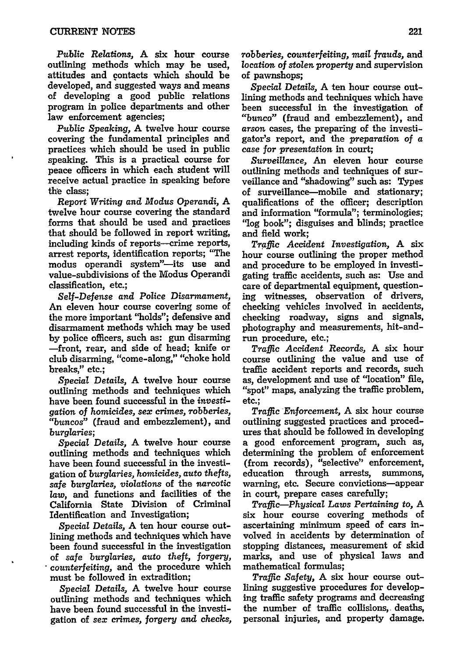*Public Relations,* A six hour course outlining methods which may be used, attitudes and contacts which should be developed, and suggested ways and means of developing a good public relations program in police departments and other law enforcement agencies;

*Public Speaking,* A twelve hour course covering the fundamental principles and practices which should be used in public speaking. This is a practical course for peace officers in which each student will receive actual practice in speaking before the class;

*Report Writing and Modus Operandi,* A twelve hour course covering the standard forms that should be used and practices that should be followed in report writing, including kinds of reports--crime reports, arrest reports, identification reports; "The modus operandi system"--its use and value-subdivisions of the Modus Operandi classification, etc.;

*Self-Defense and Police Disarmament,* An eleven hour course covering some of the more important "holds"; defensive and disarmament methods which may be used by police officers, such as: gun disarming -front, rear, and side of head; knife or club disarming, "come-along," "choke hold breaks," etc.;

*Special Details,* A twelve hour course outlining methods and techniques which have been found successful in the *investigation of homicides, sex crimes, robberies, "buncos"* (fraud and embezzlement), and *burglaries;*

*Special Details,* A twelve hour course outlining methods and techniques which have been found successful in the investigation of *burglaries, homicides, auto thefts, safe burglaries,* violations of the narcotic law, and functions and facilities of the California State Division of Criminal Identification and Investigation;

*Special Details,* A ten hour course outlining methods and techniques which have been found successful in the investigation of *safe burglaries, auto theft, forgery, "counterfeiting,* and the procedure which must be followed in extradition;

*Special Details,* **A** twelve hour course outlining methods and techniques which have been found successful in the investigation of *sex crimes, forgery and checks,* *robberies, counterfeiting, mail frauds,* and *location of stolen property* and supervision of pawnshops;

*Special Details,* A ten hour course outlining methods and techniques which have been successful in the investigation of *"bunco"* (fraud and embezzlement), and *arson* cases, the preparing of the investigator's report, and the *preparation of a case for presentation* in court;

*Surveillance,* An eleven hour course outlining methods and techniques of surveillance and "shadowing" such as: Types of surveillance-mobile and stationary; qualifications of the officer; description and information "formula"; terminologies; "log book"; disguises and blinds; practice and field work;

*Traffic Accident Investigation,* A six hour course outlining the proper method and procedure to be employed in investigating traffic accidents, such as: Use and care of departmental equipment, questioning witnesses, observation of drivers, checking vehicles involved in accidents, checking roadway, signs and signals, photography and measurements, hit-andrun procedure, etc.;

*Traffic Accident* Records, A six hour course outlining the value and use of traffic accident reports and records, such as, development and use of "location" file, "spot" maps, analyzing the traffic problem, etc.;

*Traffic Enforcement,* A six hour course outlining suggested practices and procedures that should be followed in developing a good enforcement program, such as, determining the problem of enforcement (from records), "selective" enforcement, education through arrests, summons, warning, etc. Secure convictions-appear in court, prepare cases carefully;

*Traffic-Physical Laws Pertaining to,* A six hour course covering methods of ascertaining minimum speed of cars involved in accidents by determination of stopping distances, measurement of skid marks, and use of physical laws and mathematical formulas;

*Traffic Safety,* A six hour course outlining suggestive procedures for developing traffic safety programs and decreasing the number of traffic collisions, deaths, personal injuries, and property damage.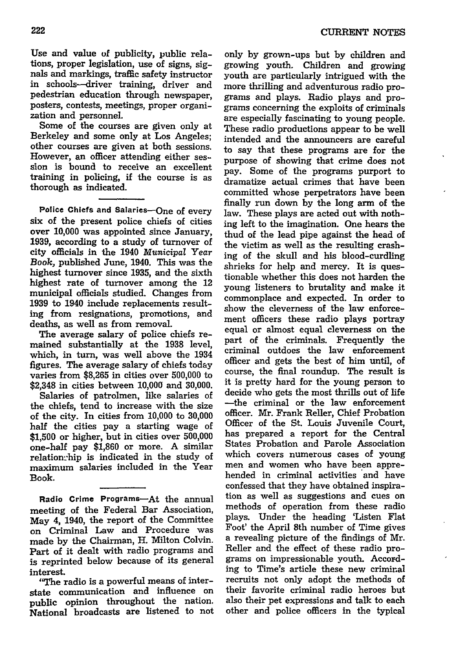Use and value of publicity, public relations, proper legislation, use of signs, signals and markings, traffic safety instructor in schools--driver training, driver and pedestrian education through newspaper, posters, contests, meetings, proper organization and personnel.

Some of the courses are given only at Berkeley and some only at Los Angeles; other courses are given at both sessions. However, an officer attending either session is bound to receive an excellent training in policing, if the course is as thorough as indicated.

Police Chiefs and Salaries-One of every six of the present police chiefs of cities over 10,000 was appointed since January, **1939,** according to a study of turnover of city officials in the 1940 *Municipal Year* Book, published June, 1940. This was the highest turnover since **1935,** and the sixth highest rate of turnover among the 12 municipal officials studied. Changes from **1939** to 1940 include replacements resulting from resignations, promotions, and deaths, as well as from removal.

The average salary of police chiefs remained substantially at the **1938** level, which, in turn, was well above the 1934 figures. The average salary of chiefs today varies from **\$8,265** in cities over **500,000** to \$2,348 in cities between **10,000** and **30,000.**

Salaries of patrolmen, like salaries **of** the chiefs, tend to increase with the size of the city. In cities from **10,000** to **30,000** half the cities pay a starting wage of **\$1,500** or higher, but in cities over **500,000** one-half pay **\$1,860** or more. **A** similar relation-hip is indicated in the study of maximum salaries included in the Year Book.

Radio Crime Programs-At the annual meeting of the Federal Bar Association, May 4, 1940, the report of the Committee on Criminal Law and Procedure was made by the Chairman, H. Milton Colvin. Part of it dealt with radio programs and is reprinted below because of its general interest.

"The radio is a powerful means of interstate communication and influence on public opinion throughout the nation. National broadcasts are listened to not

only **by** grown-ups but **by** children and growing youth. Children and growing youth are particularly intrigued with the more thrilling and adventurous radio programs and plays. Radio plays and programs concerning the exploits of criminals are especially fascinating to young people. These radio productions appear to be well intended and the announcers are careful to say that these programs are for the purpose of showing that crime does not pay. Some of the programs purport to dramatize actual crimes that have been committed whose perpetrators have been finally run down by the long arm of the law. These plays are acted out with nothing left to the imagination. One hears the thud of the lead pipe against the head of the victim as well as the resulting crashing of the skull and his blood-curdling shrieks for help and mercy. It is questionable whether this does not harden the young listeners to brutality and make it commonplace and expected. In order to show the cleverness of the law enforcement officers these radio plays portray equal or almost equal cleverness on the part of the criminals. Frequently the criminal outdoes the law enforcement officer and gets the best of him until, of course, the final roundup. The result is it is pretty hard for the young person to decide who gets the most thrills out of life -the criminal or the law enforcement officer. Mr. Frank Reller, Chief Probation Officer of the St. Louis Juvenile Court, has prepared a report for the Central States Probation and Parole Association which covers numerous cases of young men and women who have been apprehended in criminal activities and have confessed that they have obtained inspiration as well as suggestions and cues on methods of operation from these radio plays. Under the heading 'Listen Flat Foot' the April 8th number of Time gives a revealing picture of the findings of Mr. Reller and the effect of these radio programs on impressionable youth. According to Time's article these new criminal recruits not only adopt the methods of their favorite criminal radio heroes but also their pet expressions and talk to each other and police officers in the typical